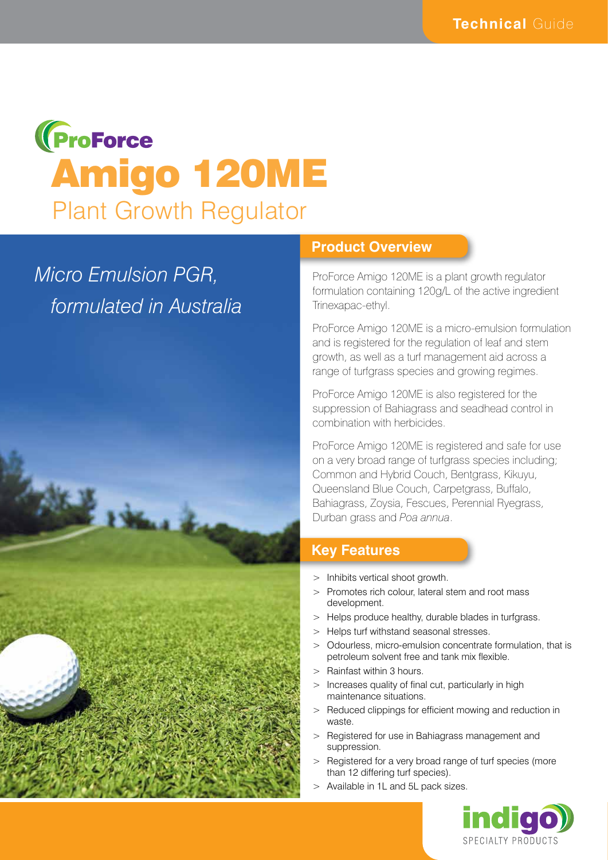# **(ProForce** Amigo 120ME Plant Growth Regulator

# *Micro Emulsion PGR, formulated in Australia*



#### **Product Overview**

ProForce Amigo 120ME is a plant growth regulator formulation containing 120g/L of the active ingredient Trinexapac-ethyl.

ProForce Amigo 120ME is a micro-emulsion formulation and is registered for the regulation of leaf and stem growth, as well as a turf management aid across a range of turfgrass species and growing regimes.

ProForce Amigo 120ME is also registered for the suppression of Bahiagrass and seadhead control in combination with herbicides.

ProForce Amigo 120ME is registered and safe for use on a very broad range of turfgrass species including; Common and Hybrid Couch, Bentgrass, Kikuyu, Queensland Blue Couch, Carpetgrass, Buffalo, Bahiagrass, Zoysia, Fescues, Perennial Ryegrass, Durban grass and *Poa annua*.

# **Key Features**

- > Inhibits vertical shoot growth.
- > Promotes rich colour, lateral stem and root mass development.
- > Helps produce healthy, durable blades in turfgrass.
- > Helps turf withstand seasonal stresses.
- > Odourless, micro-emulsion concentrate formulation, that is petroleum solvent free and tank mix flexible.
- > Rainfast within 3 hours.
- Increases quality of final cut, particularly in high maintenance situations.
- > Reduced clippings for efficient mowing and reduction in waste.
- > Registered for use in Bahiagrass management and suppression.
- > Registered for a very broad range of turf species (more than 12 differing turf species).
- > Available in 1L and 5L pack sizes.